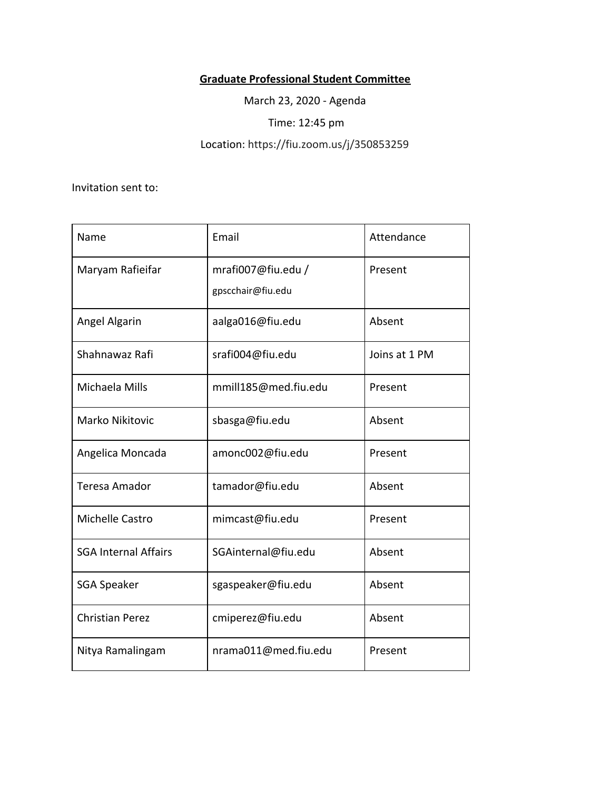## **Graduate Professional Student Committee**

March 23, 2020 - Agenda

Time: 12:45 pm

Location: https://fiu.zoom.us/j/350853259

Invitation sent to:

| Name                        | Email                                   | Attendance    |
|-----------------------------|-----------------------------------------|---------------|
| Maryam Rafieifar            | mrafi007@fiu.edu /<br>gpscchair@fiu.edu | Present       |
| Angel Algarin               | aalga016@fiu.edu                        | Absent        |
| Shahnawaz Rafi              | srafi004@fiu.edu                        | Joins at 1 PM |
| Michaela Mills              | mmill185@med.fiu.edu                    | Present       |
| <b>Marko Nikitovic</b>      | sbasga@fiu.edu                          | Absent        |
| Angelica Moncada            | amonc002@fiu.edu                        | Present       |
| <b>Teresa Amador</b>        | tamador@fiu.edu                         | Absent        |
| Michelle Castro             | mimcast@fiu.edu                         | Present       |
| <b>SGA Internal Affairs</b> | SGAinternal@fiu.edu                     | Absent        |
| <b>SGA Speaker</b>          | sgaspeaker@fiu.edu                      | Absent        |
| <b>Christian Perez</b>      | cmiperez@fiu.edu                        | Absent        |
| Nitya Ramalingam            | nrama011@med.fiu.edu                    | Present       |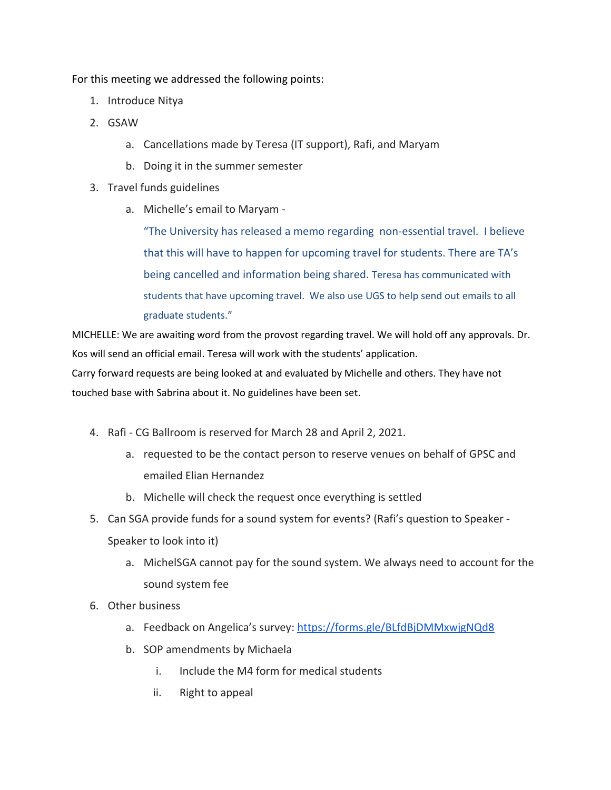For this meeting we addressed the following points:

- 1. Introduce Nitya
- 2. GSAW
	- a. Cancellations made by Teresa (IT support), Rafi, and Maryam
	- b. Doing it in the summer semester
- 3. Travel funds guidelines
	- a. Michelle's email to Maryam -

"The University has released a memo regarding non-essential travel. I believe that this will have to happen for upcoming travel for students. There are TA's being cancelled and information being shared. Teresa has communicated with students that have upcoming travel. We also use UGS to help send out emails to all graduate students."

MICHELLE: We are awaiting word from the provost regarding travel. We will hold off any approvals. Dr. Kos will send an official email. Teresa will work with the students' application.

Carry forward requests are being looked at and evaluated by Michelle and others. They have not touched base with Sabrina about it. No guidelines have been set.

- 4. Rafi CG Ballroom is reserved for March 28 and April 2, 2021.
	- a. requested to be the contact person to reserve venues on behalf of GPSC and emailed Elian Hernandez
	- b. Michelle will check the request once everything is settled
- 5. Can SGA provide funds for a sound system for events? (Rafi's question to Speaker Speaker to look into it)
	- a. MichelSGA cannot pay for the sound system. We always need to account for the sound system fee
- 6. Other business
	- a. Feedback on Angelica's survey: <https://forms.gle/BLfdBjDMMxwjgNQd8>
	- b. SOP amendments by Michaela
		- i. Include the M4 form for medical students
		- ii. Right to appeal